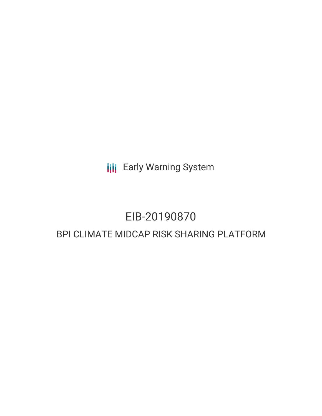**III** Early Warning System

## EIB-20190870

### BPI CLIMATE MIDCAP RISK SHARING PLATFORM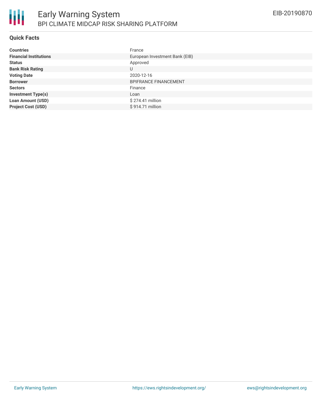

### **Quick Facts**

| <b>Countries</b>              | France                         |
|-------------------------------|--------------------------------|
| <b>Financial Institutions</b> | European Investment Bank (EIB) |
| <b>Status</b>                 | Approved                       |
| <b>Bank Risk Rating</b>       | U                              |
| <b>Voting Date</b>            | 2020-12-16                     |
| <b>Borrower</b>               | <b>BPIFRANCE FINANCEMENT</b>   |
| <b>Sectors</b>                | Finance                        |
| <b>Investment Type(s)</b>     | Loan                           |
| <b>Loan Amount (USD)</b>      | \$274.41 million               |
| <b>Project Cost (USD)</b>     | \$914.71 million               |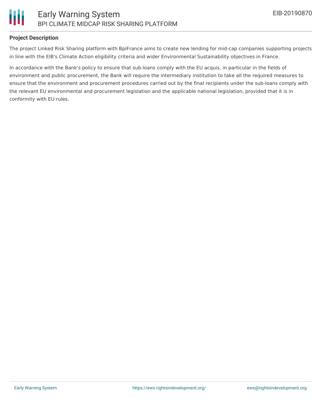

### **Project Description**

The project Linked Risk Sharing platform with BpiFrance aims to create new lending for mid-cap companies supporting projects in line with the EIB's Climate Action eligibility criteria and wider Environmental Sustainability objectives in France.

In accordance with the Bank's policy to ensure that sub-loans comply with the EU acquis, in particular in the fields of environment and public procurement, the Bank will require the intermediary institution to take all the required measures to ensure that the environment and procurement procedures carried out by the final recipients under the sub-loans comply with the relevant EU environmental and procurement legislation and the applicable national legislation, provided that it is in conformity with EU rules.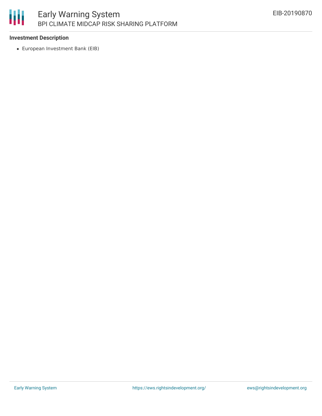# 朋

### **Investment Description**

European Investment Bank (EIB)